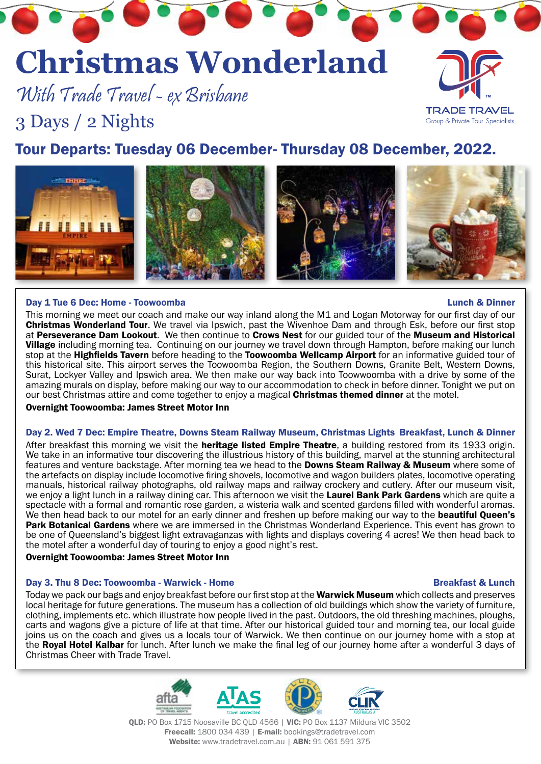# **Christmas Wonderland**

With Trade Travel - ex Brisbane

3 Days / 2 Nights

**HIII** 

## Tour Departs: Tuesday 06 December- Thursday 08 December, 2022.

Day 1 Tue 6 Dec: Home - Toowoomba Lunch & Dinner

This morning we meet our coach and make our way inland along the M1 and Logan Motorway for our first day of our Christmas Wonderland Tour. We travel via Ipswich, past the Wivenhoe Dam and through Esk, before our first stop at Perseverance Dam Lookout. We then continue to Crows Nest for our guided tour of the Museum and Historical Village including morning tea. Continuing on our journey we travel down through Hampton, before making our lunch stop at the Highfields Tavern before heading to the Toowoomba Wellcamp Airport for an informative guided tour of this historical site. This airport serves the Toowoomba Region, the Southern Downs, Granite Belt, Western Downs, Surat, Lockyer Valley and Ipswich area. We then make our way back into Toowwoomba with a drive by some of the amazing murals on display, before making our way to our accommodation to check in before dinner. Tonight we put on our best Christmas attire and come together to enjoy a magical **Christmas themed dinner** at the motel.

Overnight Toowoomba: James Street Motor Inn

#### Day 2. Wed 7 Dec: Empire Theatre, Downs Steam Railway Museum, Christmas Lights Breakfast, Lunch & Dinner

After breakfast this morning we visit the **heritage listed Empire Theatre**, a building restored from its 1933 origin. We take in an informative tour discovering the illustrious history of this building, marvel at the stunning architectural features and venture backstage. After morning tea we head to the **Downs Steam Railway & Museum** where some of the artefacts on display include locomotive firing shovels, locomotive and wagon builders plates, locomotive operating manuals, historical railway photographs, old railway maps and railway crockery and cutlery. After our museum visit, we enjoy a light lunch in a railway dining car. This afternoon we visit the Laurel Bank Park Gardens which are quite a spectacle with a formal and romantic rose garden, a wisteria walk and scented gardens filled with wonderful aromas. We then head back to our motel for an early dinner and freshen up before making our way to the **beautiful Queen's** Park Botanical Gardens where we are immersed in the Christmas Wonderland Experience. This event has grown to be one of Queensland's biggest light extravaganzas with lights and displays covering 4 acres! We then head back to the motel after a wonderful day of touring to enjoy a good night's rest.

#### Overnight Toowoomba: James Street Motor Inn

#### Day 3. Thu 8 Dec: Toowoomba - Warwick - Home Breakfast & Lunch Breakfast & Lunch

Today we pack our bags and enjoy breakfast before our first stop at the **Warwick Museum** which collects and preserves local heritage for future generations. The museum has a collection of old buildings which show the variety of furniture, clothing, implements etc. which illustrate how people lived in the past. Outdoors, the old threshing machines, ploughs, carts and wagons give a picture of life at that time. After our historical guided tour and morning tea, our local guide joins us on the coach and gives us a locals tour of Warwick. We then continue on our journey home with a stop at the Royal Hotel Kalbar for lunch. After lunch we make the final leg of our journey home after a wonderful 3 days of Christmas Cheer with Trade Travel.

Website: www.tradetravel.com.au | ABN: 91 061 591 375